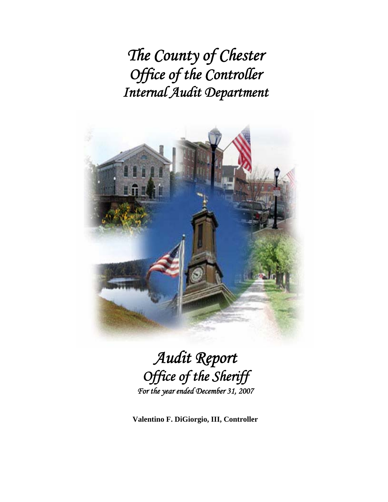*The County of Chester Office of the Controller Internal Audit Department* 



*Audit Report Office of the Sheriff For the year ended December 31, 2007* 

**Valentino F. DiGiorgio, III, Controller**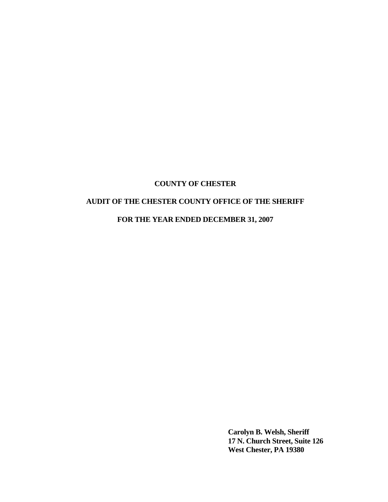# **AUDIT OF THE CHESTER COUNTY OFFICE OF THE SHERIFF**

**FOR THE YEAR ENDED DECEMBER 31, 2007** 

 **Carolyn B. Welsh, Sheriff 17 N. Church Street, Suite 126 West Chester, PA 19380**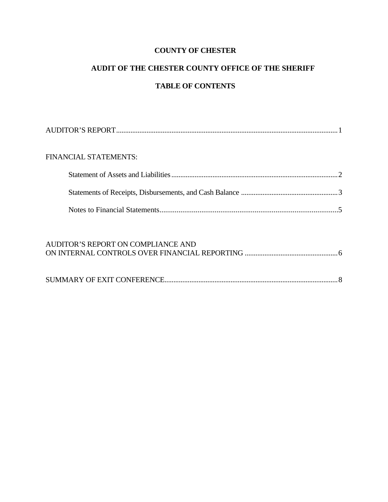# **AUDIT OF THE CHESTER COUNTY OFFICE OF THE SHERIFF**

# **TABLE OF CONTENTS**

| <b>FINANCIAL STATEMENTS:</b> |  |
|------------------------------|--|
|                              |  |
|                              |  |
|                              |  |

# AUDITOR'S REPORT ON COMPLIANCE AND ON INTERNAL CONTROLS OVER FINANCIAL REPORTING ....................................................6 SUMMARY OF EXIT CONFERENCE.................................................................................................8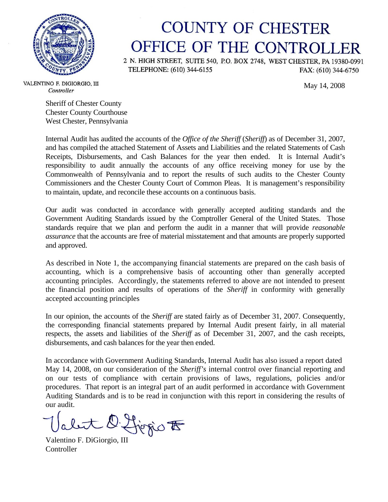

# **COUNTY OF CHESTER** OFFICE OF THE CONTROLLER

2 N. HIGH STREET, SUITE 540, P.O. BOX 2748, WEST CHESTER, PA 19380-0991 TELEPHONE: (610) 344-6155 FAX: (610) 344-6750

May 14, 2008

VALENTINO F. DIGIORGIO, III Controller

Sheriff of Chester County Chester County Courthouse West Chester, Pennsylvania

Internal Audit has audited the accounts of the *Office of the Sheriff* (*Sheriff*) as of December 31, 2007, and has compiled the attached Statement of Assets and Liabilities and the related Statements of Cash Receipts, Disbursements, and Cash Balances for the year then ended. It is Internal Audit's responsibility to audit annually the accounts of any office receiving money for use by the Commonwealth of Pennsylvania and to report the results of such audits to the Chester County Commissioners and the Chester County Court of Common Pleas. It is management's responsibility to maintain, update, and reconcile these accounts on a continuous basis.

Our audit was conducted in accordance with generally accepted auditing standards and the Government Auditing Standards issued by the Comptroller General of the United States. Those standards require that we plan and perform the audit in a manner that will provide *reasonable assurance* that the accounts are free of material misstatement and that amounts are properly supported and approved.

As described in Note 1, the accompanying financial statements are prepared on the cash basis of accounting, which is a comprehensive basis of accounting other than generally accepted accounting principles. Accordingly, the statements referred to above are not intended to present the financial position and results of operations of the *Sheriff* in conformity with generally accepted accounting principles

In our opinion, the accounts of the *Sheriff* are stated fairly as of December 31, 2007. Consequently, the corresponding financial statements prepared by Internal Audit present fairly, in all material respects, the assets and liabilities of the *Sheriff* as of December 31, 2007, and the cash receipts, disbursements, and cash balances for the year then ended.

In accordance with Government Auditing Standards, Internal Audit has also issued a report dated May 14, 2008, on our consideration of the *Sheriff's* internal control over financial reporting and on our tests of compliance with certain provisions of laws, regulations, policies and/or procedures. That report is an integral part of an audit performed in accordance with Government Auditing Standards and is to be read in conjunction with this report in considering the results of our audit.

Valent D. Livrio F

**Controller**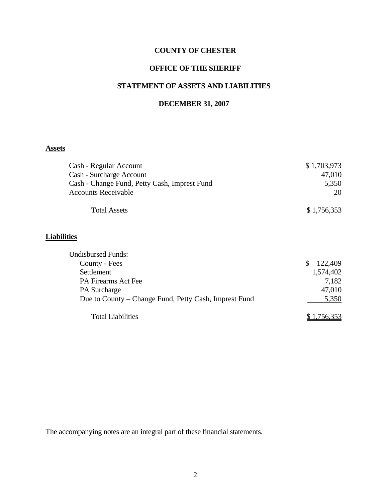# **OFFICE OF THE SHERIFF**

# **STATEMENT OF ASSETS AND LIABILITIES**

#### **DECEMBER 31, 2007**

# **Assets**

| Cash - Regular Account                                | \$1,703,973   |
|-------------------------------------------------------|---------------|
| Cash - Surcharge Account                              | 47,010        |
| Cash - Change Fund, Petty Cash, Imprest Fund          | 5,350         |
| <b>Accounts Receivable</b>                            | 20            |
| <b>Total Assets</b>                                   | \$1,756,353   |
| <b>Liabilities</b>                                    |               |
| <b>Undisbursed Funds:</b>                             |               |
| County - Fees                                         | \$<br>122,409 |
| Settlement                                            | 1,574,402     |
| <b>PA Firearms Act Fee</b>                            | 7,182         |
| <b>PA</b> Surcharge                                   | 47,010        |
| Due to County – Change Fund, Petty Cash, Imprest Fund | 5,350         |
| <b>Total Liabilities</b>                              | \$1,756,353   |

The accompanying notes are an integral part of these financial statements.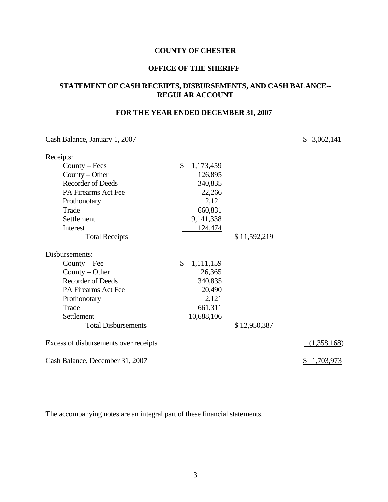#### **OFFICE OF THE SHERIFF**

## **STATEMENT OF CASH RECEIPTS, DISBURSEMENTS, AND CASH BALANCE-- REGULAR ACCOUNT**

# **FOR THE YEAR ENDED DECEMBER 31, 2007**

Cash Balance, January 1, 2007 \$ 3,062,141

| Receipts:                             |                 |              |             |
|---------------------------------------|-----------------|--------------|-------------|
| $Country - Fees$                      | \$<br>1,173,459 |              |             |
| County $-$ Other                      | 126,895         |              |             |
| <b>Recorder of Deeds</b>              | 340,835         |              |             |
| PA Firearms Act Fee                   | 22,266          |              |             |
| Prothonotary                          | 2,121           |              |             |
| Trade                                 | 660,831         |              |             |
| Settlement                            | 9,141,338       |              |             |
| Interest                              | 124,474         |              |             |
| <b>Total Receipts</b>                 |                 | \$11,592,219 |             |
| Disbursements:                        |                 |              |             |
| $Country - Fee$                       | \$<br>1,111,159 |              |             |
| County $-$ Other                      | 126,365         |              |             |
| <b>Recorder of Deeds</b>              | 340,835         |              |             |
| PA Firearms Act Fee                   | 20,490          |              |             |
| Prothonotary                          | 2,121           |              |             |
| Trade                                 | 661,311         |              |             |
| Settlement                            | 10,688,106      |              |             |
| <b>Total Disbursements</b>            |                 | \$12,950,387 |             |
| Excess of disbursements over receipts |                 |              | (1,358,168) |
| Cash Balance, December 31, 2007       |                 |              | 1,703,973   |

The accompanying notes are an integral part of these financial statements.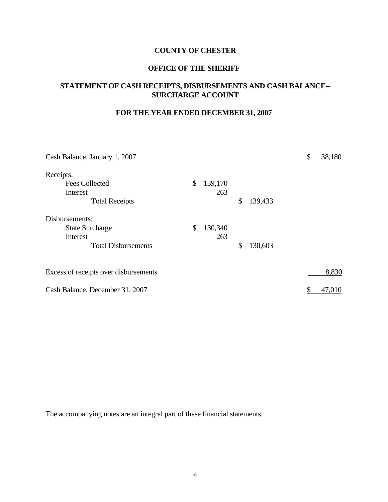#### **OFFICE OF THE SHERIFF**

# **STATEMENT OF CASH RECEIPTS, DISBURSEMENTS AND CASH BALANCE-- SURCHARGE ACCOUNT**

# **FOR THE YEAR ENDED DECEMBER 31, 2007**

| Cash Balance, January 1, 2007         |               |               | \$ | 38,180 |
|---------------------------------------|---------------|---------------|----|--------|
| Receipts:                             |               |               |    |        |
| <b>Fees Collected</b>                 | \$<br>139,170 |               |    |        |
| Interest                              | 263           |               |    |        |
| <b>Total Receipts</b>                 |               | \$<br>139,433 |    |        |
| Disbursements:                        |               |               |    |        |
| <b>State Surcharge</b>                | \$<br>130,340 |               |    |        |
| Interest                              | 263           |               |    |        |
| <b>Total Disbursements</b>            |               | \$<br>130,603 |    |        |
| Excess of receipts over disbursements |               |               |    | 8,830  |
|                                       |               |               |    |        |
| Cash Balance, December 31, 2007       |               |               | \$ | 47,010 |

The accompanying notes are an integral part of these financial statements.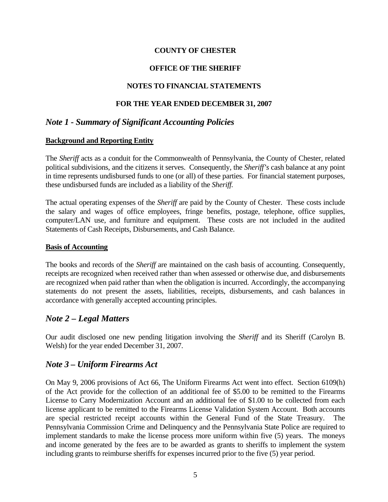## **OFFICE OF THE SHERIFF**

## **NOTES TO FINANCIAL STATEMENTS**

## **FOR THE YEAR ENDED DECEMBER 31, 2007**

# *Note 1 - Summary of Significant Accounting Policies*

#### **Background and Reporting Entity**

The *Sheriff* acts as a conduit for the Commonwealth of Pennsylvania, the County of Chester, related political subdivisions, and the citizens it serves. Consequently, the *Sheriff's* cash balance at any point in time represents undisbursed funds to one (or all) of these parties. For financial statement purposes, these undisbursed funds are included as a liability of the *Sheriff.*

The actual operating expenses of the *Sheriff* are paid by the County of Chester. These costs include the salary and wages of office employees, fringe benefits, postage, telephone, office supplies, computer/LAN use, and furniture and equipment. These costs are not included in the audited Statements of Cash Receipts, Disbursements, and Cash Balance.

#### **Basis of Accounting**

The books and records of the *Sheriff* are maintained on the cash basis of accounting. Consequently, receipts are recognized when received rather than when assessed or otherwise due, and disbursements are recognized when paid rather than when the obligation is incurred. Accordingly, the accompanying statements do not present the assets, liabilities, receipts, disbursements, and cash balances in accordance with generally accepted accounting principles.

#### *Note 2 – Legal Matters*

Our audit disclosed one new pending litigation involving the *Sheriff* and its Sheriff (Carolyn B. Welsh) for the year ended December 31, 2007.

#### *Note 3 – Uniform Firearms Act*

On May 9, 2006 provisions of Act 66, The Uniform Firearms Act went into effect. Section 6109(h) of the Act provide for the collection of an additional fee of \$5.00 to be remitted to the Firearms License to Carry Modernization Account and an additional fee of \$1.00 to be collected from each license applicant to be remitted to the Firearms License Validation System Account. Both accounts are special restricted receipt accounts within the General Fund of the State Treasury. The Pennsylvania Commission Crime and Delinquency and the Pennsylvania State Police are required to implement standards to make the license process more uniform within five (5) years. The moneys and income generated by the fees are to be awarded as grants to sheriffs to implement the system including grants to reimburse sheriffs for expenses incurred prior to the five (5) year period.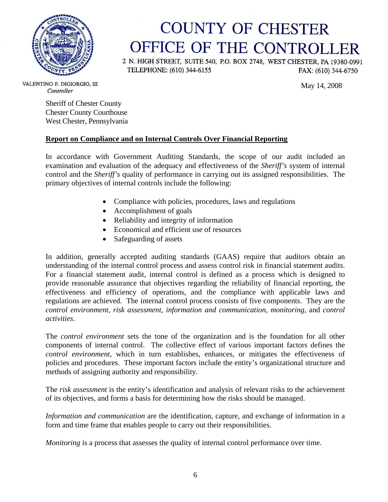

# **COUNTY OF CHESTER** OFFICE OF THE CONTROLLER

2 N. HIGH STREET, SUITE 540, P.O. BOX 2748, WEST CHESTER, PA 19380-0991 TELEPHONE: (610) 344-6155 FAX: (610) 344-6750

May 14, 2008

VALENTINO F. DIGIORGIO, III Controller

> Sheriff of Chester County Chester County Courthouse West Chester, Pennsylvania

# **Report on Compliance and on Internal Controls Over Financial Reporting**

In accordance with Government Auditing Standards, the scope of our audit included an examination and evaluation of the adequacy and effectiveness of the *Sheriff's* system of internal control and the *Sheriff's* quality of performance in carrying out its assigned responsibilities. The primary objectives of internal controls include the following:

- Compliance with policies, procedures, laws and regulations
- Accomplishment of goals
- Reliability and integrity of information
- Economical and efficient use of resources
- Safeguarding of assets

In addition, generally accepted auditing standards (GAAS) require that auditors obtain an understanding of the internal control process and assess control risk in financial statement audits. For a financial statement audit, internal control is defined as a process which is designed to provide reasonable assurance that objectives regarding the reliability of financial reporting, the effectiveness and efficiency of operations, and the compliance with applicable laws and regulations are achieved. The internal control process consists of five components. They are the *control environment*, *risk assessment*, *information and communication*, *monitoring*, and *control activities*.

The *control environment* sets the tone of the organization and is the foundation for all other components of internal control. The collective effect of various important factors defines the *control environment,* which in turn establishes, enhances, or mitigates the effectiveness of policies and procedures. These important factors include the entity's organizational structure and methods of assigning authority and responsibility.

The *risk assessment* is the entity's identification and analysis of relevant risks to the achievement of its objectives, and forms a basis for determining how the risks should be managed.

*Information and communication* are the identification, capture, and exchange of information in a form and time frame that enables people to carry out their responsibilities.

*Monitoring* is a process that assesses the quality of internal control performance over time.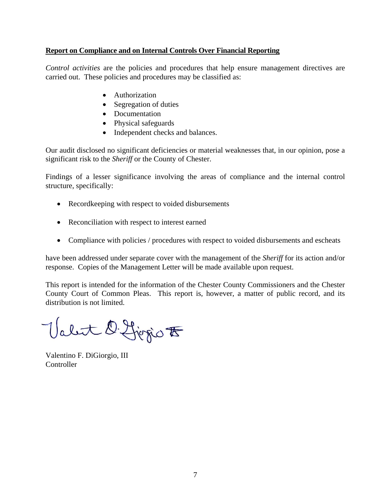#### **Report on Compliance and on Internal Controls Over Financial Reporting**

*Control activities* are the policies and procedures that help ensure management directives are carried out. These policies and procedures may be classified as:

- Authorization
- Segregation of duties
- Documentation
- Physical safeguards
- Independent checks and balances.

Our audit disclosed no significant deficiencies or material weaknesses that, in our opinion, pose a significant risk to the *Sheriff* or the County of Chester.

Findings of a lesser significance involving the areas of compliance and the internal control structure, specifically:

- Recordkeeping with respect to voided disbursements
- Reconciliation with respect to interest earned
- Compliance with policies / procedures with respect to voided disbursements and escheats

have been addressed under separate cover with the management of the *Sheriff* for its action and/or response. Copies of the Management Letter will be made available upon request.

This report is intended for the information of the Chester County Commissioners and the Chester County Court of Common Pleas. This report is, however, a matter of public record, and its distribution is not limited.

Valet D. Ljegio F

Valentino F. DiGiorgio, III **Controller**